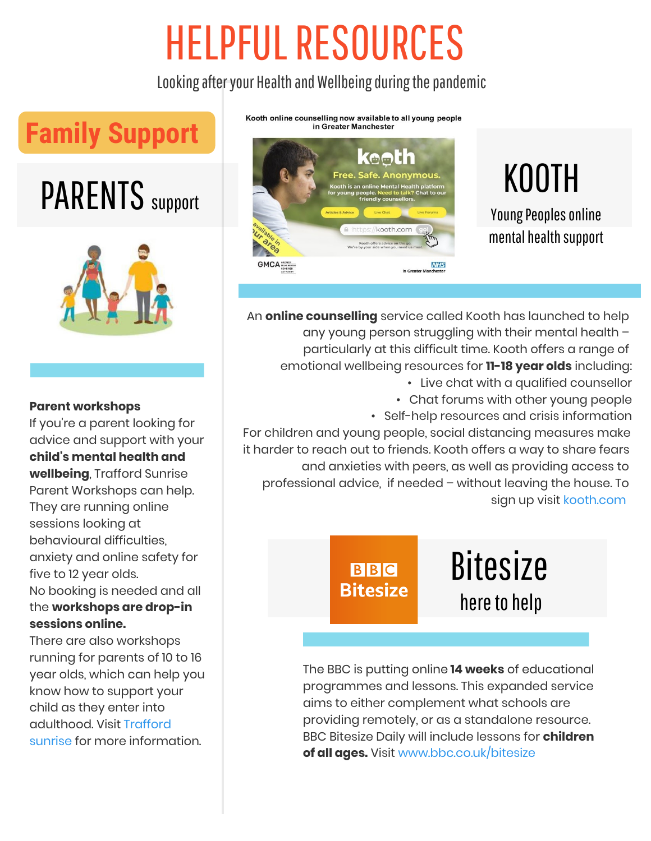Looking after your Health and Wellbeing during the pandemic

## **Family Support**

# PARENTS support



#### **Parent workshops**

If you're a parent looking for advice and support with your **child's mental health and wellbeing**, Trafford Sunrise Parent Workshops can help. They are running online sessions looking at behavioural difficulties, anxiety and online safety for five to 12 year olds. No booking is needed and all the **workshops are drop-in sessions online.**

There are also workshops running for parents of 10 to 16 year olds, which can help you know how to support your child as they enter into [adulthood. Visit Trafford](https://www.justpsychology.co.uk/posts/3-trafford-sunrise-supporting-children-with-their-emotional-health-and-wellbeing)  sunrise for more information.

Kooth online counselling now available to all young people in Greater Manchester



### KOOTH Young Peoples online

mental health support

An **online counselling** service called Kooth has launched to help any young person struggling with their mental health – particularly at this difficult time. Kooth offers a range of emotional wellbeing resources for **11-18 year olds** including: • Live chat with a qualified counsellor

• Chat forums with other young people • Self-help resources and crisis information

For children and young people, social distancing measures make it harder to reach out to friends. Kooth offers a way to share fears and anxieties with peers, as well as providing access to professional advice, if needed – without leaving the house. To sign up visi[t kooth.com](https://www.kooth.com/) 

> **BBC Bitesize**

**Bitesize** here to help

The BBC is putting online **14 weeks** of educational programmes and lessons. This expanded service aims to either complement what schools are providing remotely, or as a standalone resource. BBC Bitesize Daily will include lessons for **children of all ages.** Visit [www.bbc.co.uk/bitesize](https://www.bbc.co.uk/bitesize)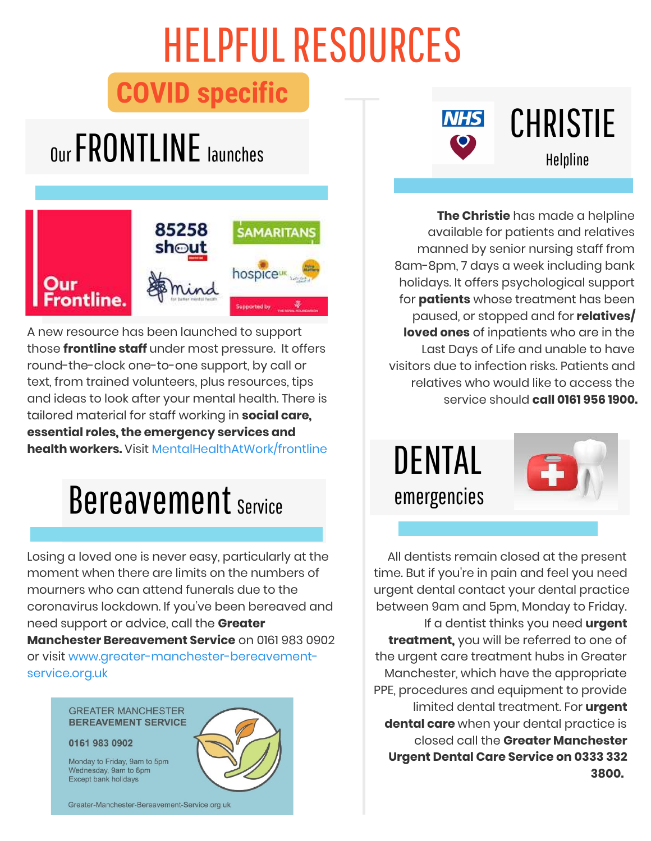### **COVID specific**

# Our FRONTLINE Helpline launches



A new resource has been launched to support those **frontline staff** under most pressure. It offers round-the-clock one-to-one support, by call or text, from trained volunteers, plus resources, tips and ideas to look after your mental health. There is tailored material for staff working in **social care, essential roles, the emergency services and health workers.** Visit [MentalHealthAtWork/frontline](https://www.mentalhealthatwork.org.uk/ourfrontline/)

## Bereavement Service

Losing a loved one is never easy, particularly at the moment when there are limits on the numbers of mourners who can attend funerals due to the coronavirus lockdown. If you've been bereaved and need support or advice, call the **Greater Manchester Bereavement Service** on 0161 983 0902 [or visit www.greater-manchester-bereavement](https://greater-manchester-bereavement-service.org.uk/)service.org.uk

#### **GREATER MANCHESTER BEREAVEMENT SERVICE**

Monday to Friday, 9am to 5pm Wednesday, 9am to 8pm **Except bank holidays** 

#### 0161 983 0902





# CHRISTIE

**The Christie** has made a helpline available for patients and relatives manned by senior nursing staff from 8am-8pm, 7 days a week including bank holidays. It offers psychological support for **patients** whose treatment has been paused, or stopped and for **relatives/ loved ones** of inpatients who are in the Last Days of Life and unable to have visitors due to infection risks. Patients and relatives who would like to access the service should **call 0161 956 1900.**

DENTAL emergencies



All dentists remain closed at the present time. But if you're in pain and feel you need urgent dental contact your dental practice between 9am and 5pm, Monday to Friday. If a dentist thinks you need **urgent treatment,** you will be referred to one of the urgent care treatment hubs in Greater Manchester, which have the appropriate PPE, procedures and equipment to provide limited dental treatment. For **urgent dental care** when your dental practice is closed call the **Greater Manchester Urgent Dental Care Service on 0333 332 3800.**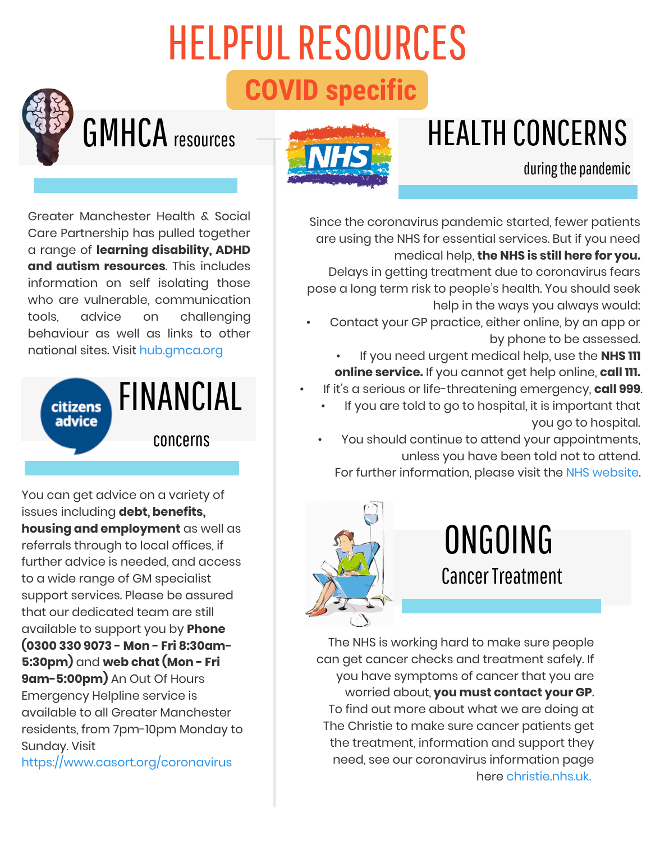# HELPFUL RESOURCES **COVID specific**

## HEALTH CONCERNS

# GMHCA resources



#### during the pandemic

Greater Manchester Health & Social Care Partnership has pulled together a range of **learning disability, ADHD and autism resources**. This includes information on self isolating those who are vulnerable, communication tools, advice on challenging behaviour as well as links to other national sites. Visit [hub.gmca.org](https://hub.gmhsc.org.uk/mental-health/learning-disability-and-autism/)



You can get advice on a variety of issues including **debt, benefits, housing and employment** as well as referrals through to local offices, if further advice is needed, and access to a wide range of GM specialist support services. Please be assured that our dedicated team are still available to support you by **Phone (0300 330 9073 - Mon - Fri 8:30am-5:30pm)** and **web chat (Mon - Fri 9am-5:00pm)** An Out Of Hours Emergency Helpline service is available to all Greater Manchester residents, from 7pm-10pm Monday to Sunday. Visit

<https://www.casort.org/coronavirus>

Since the coronavirus pandemic started, fewer patients are using the NHS for essential services. But if you need medical help, **the NHS is still here for you.**

Delays in getting treatment due to coronavirus fears pose a long term risk to people's health. You should seek help in the ways you always would:

- Contact your GP practice, either online, by an app or by phone to be assessed.
	- If you need urgent medical help, use the **NHS 111 online service.** If you cannot get help online, **call 111.**
- If it's a serious or life-threatening emergency, **call 999**.
	- If you are told to go to hospital, it is important that you go to hospital.
	- You should continue to attend your appointments, unless you have been told not to attend.
		- For further information, please visit the [NHS website](https://www.nhs.uk/).



## ONGOING Cancer Treatment

The NHS is working hard to make sure people can get cancer checks and treatment safely. If you have symptoms of cancer that you are worried about, **you must contact your GP**. To find out more about what we are doing at The Christie to make sure cancer patients get the treatment, information and support they need, see our coronavirus information page here [christie.nhs.uk.](https://www.christie.nhs.uk/patients-and-visitors/your-treatment-and-care/coronavirus-information)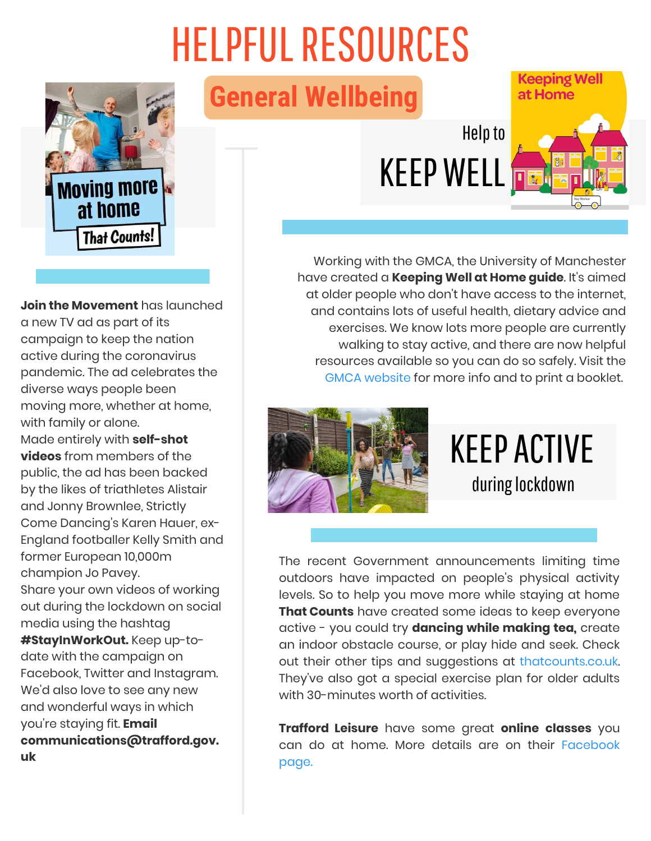

**Join the Movement** has launched a new TV ad as part of its campaign to keep the nation active during the coronavirus pandemic. The ad celebrates the diverse ways people been moving more, whether at home, with family or alone. Made entirely with **self-shot videos** from members of the public, the ad has been backed by the likes of triathletes Alistair and Jonny Brownlee, Strictly Come Dancing's Karen Hauer, ex-England footballer Kelly Smith and former European 10,000m champion Jo Pavey. Share your own videos of working out during the lockdown on social media using the hashtag **#StayInWorkOut.** Keep up-todate with the campaign on Facebook, Twitter and Instagram. We'd also love to see any new and wonderful ways in which you're staying fit. **Email communications@trafford.gov. uk**

**General Wellbeing**

## Help to KEEP WELL



Keeping Well

Working with the GMCA, the University of Manchester have created a **Keeping Well at Home guide**. It's aimed at older people who don't have access to the internet, and contains lots of useful health, dietary advice and exercises. We know lots more people are currently walking to stay active, and there are now helpful resources available so you can do so safely. Visit the [GMCA website](https://www.greatermanchester-ca.gov.uk/coronavirus/support-and-advice-for-older-residents/) for more info and to print a booklet.



#### KEEP ACTIVE during lockdown

The recent Government announcements limiting time outdoors have impacted on people's physical activity levels. So to help you move more while staying at home **That Counts** have created some ideas to keep everyone active - you could try **dancing while making tea,** create an indoor obstacle course, or play hide and seek. Check out their other tips and suggestions at [thatcounts.co.uk](https://www.thatcounts.co.uk/). They've also got a special exercise plan for older adults with 30-minutes worth of activities.

**Trafford Leisure** have some great **online classes** you [can do at home. More details are on their Facebook](https://www.facebook.com/traffordleisurecic/) page.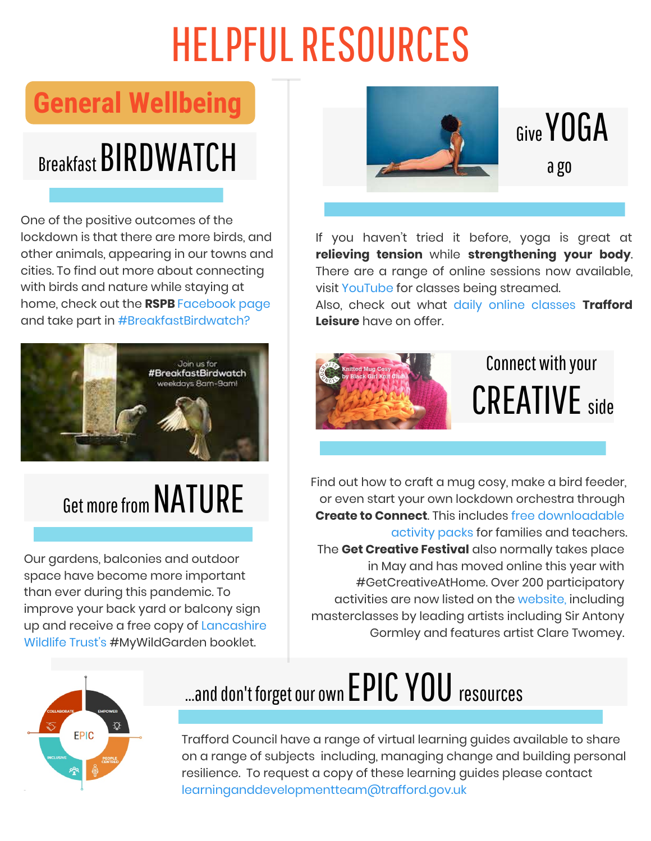#### **General Wellbeing**

# **Breakfast BIRDWATCH**

One of the positive outcomes of the lockdown is that there are more birds, and other animals, appearing in our towns and cities. To find out more about connecting with birds and nature while staying at home, check out the **RSPB** [Facebook page](https://www.facebook.com/RSPBLoveNature/)  and take part in [#BreakfastBirdwatch?](https://www.rspb.org.uk/about-the-rspb/about-us/media-centre/press-releases/rspbs-breakfast-birdwatch/)



## Get more from NATURE

Our gardens, balconies and outdoor space have become more important than ever during this pandemic. To improve your back yard or balcony sign up and receive a free copy of Lancashire Wildlife Trust's #MyWildGarden booklet.



#### Give YOGA a go

If you haven't tried it before, yoga is great at **relieving tension** while **strengthening your body**. There are a range of online sessions now available, visit [YouTube f](https://www.youtube.com/results?search_query=yoga)or classes being streamed.

Also, check out what [daily online classes](https://traffordleisure.co.uk/covid-19-community-dashboard/) **Trafford Leisure** have on offer.



### Connect with your CREATIVE side

Find out how to craft a mug cosy, make a bird feeder, or even start your own lockdown orchestra through **Create to Connect**. This includes free downloadable [activity packs for families and teachers.](https://dothinkshare.com/creative-inspiration/create-to-connect/) The **Get Creative Festival** also normally takes place in May and has moved online this year with #GetCreativeAtHome. Over 200 participatory activities are now listed on the [website,](https://www.voluntaryarts.org/get-creative) including masterclasses by leading artists including Sir Antony Gormley and features artist Clare Twomey.



## ...and don't forget our own EPIC YOU resources

Trafford Council have a range of virtual learning guides available to share on a range of subjects including, managing change and building personal resilience. To request a copy of these learning guides please contact [learninganddevelopmentteam@trafford.gov.uk](http://learninganddevelopmentteam@trafford.gov.uk/)